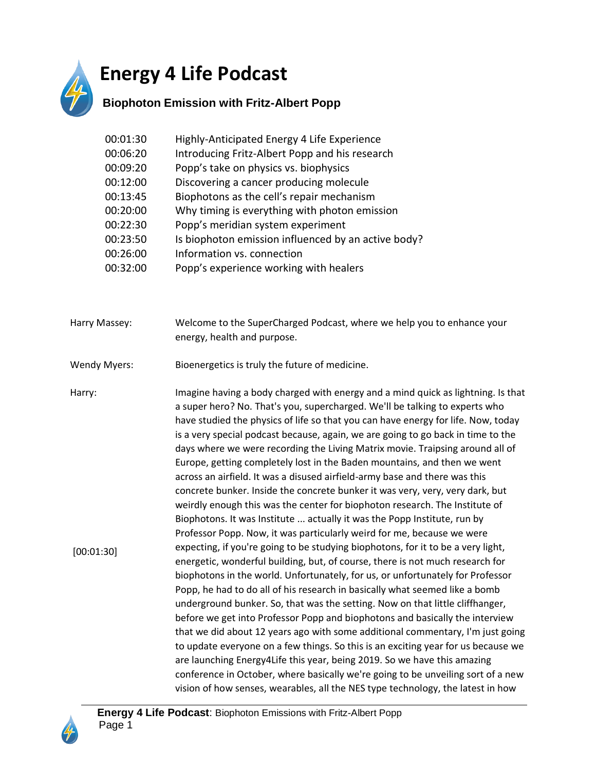

## **Energy 4 Life Podcast**

## **Biophoton Emission with Fritz-Albert Popp**

| 00:01:30 | Highly-Anticipated Energy 4 Life Experience         |
|----------|-----------------------------------------------------|
| 00:06:20 | Introducing Fritz-Albert Popp and his research      |
| 00:09:20 | Popp's take on physics vs. biophysics               |
| 00:12:00 | Discovering a cancer producing molecule             |
| 00:13:45 | Biophotons as the cell's repair mechanism           |
| 00:20:00 | Why timing is everything with photon emission       |
| 00:22:30 | Popp's meridian system experiment                   |
| 00:23:50 | Is biophoton emission influenced by an active body? |
| 00:26:00 | Information vs. connection                          |
| 00:32:00 | Popp's experience working with healers              |

Harry Massey: Welcome to the SuperCharged Podcast, where we help you to enhance your energy, health and purpose.

Wendy Myers: Bioenergetics is truly the future of medicine.

Harry: Imagine having a body charged with energy and a mind quick as lightning. Is that a super hero? No. That's you, supercharged. We'll be talking to experts who have studied the physics of life so that you can have energy for life. Now, today is a very special podcast because, again, we are going to go back in time to the days where we were recording the Living Matrix movie. Traipsing around all of Europe, getting completely lost in the Baden mountains, and then we went across an airfield. It was a disused airfield-army base and there was this concrete bunker. Inside the concrete bunker it was very, very, very dark, but weirdly enough this was the center for biophoton research. The Institute of Biophotons. It was Institute ... actually it was the Popp Institute, run by Professor Popp. Now, it was particularly weird for me, because we were expecting, if you're going to be studying biophotons, for it to be a very light, energetic, wonderful building, but, of course, there is not much research for biophotons in the world. Unfortunately, for us, or unfortunately for Professor Popp, he had to do all of his research in basically what seemed like a bomb underground bunker. So, that was the setting. Now on that little cliffhanger, before we get into Professor Popp and biophotons and basically the interview that we did about 12 years ago with some additional commentary, I'm just going to update everyone on a few things. So this is an exciting year for us because we are launching Energy4Life this year, being 2019. So we have this amazing conference in October, where basically we're going to be unveiling sort of a new vision of how senses, wearables, all the NES type technology, the latest in how [00:01:30]

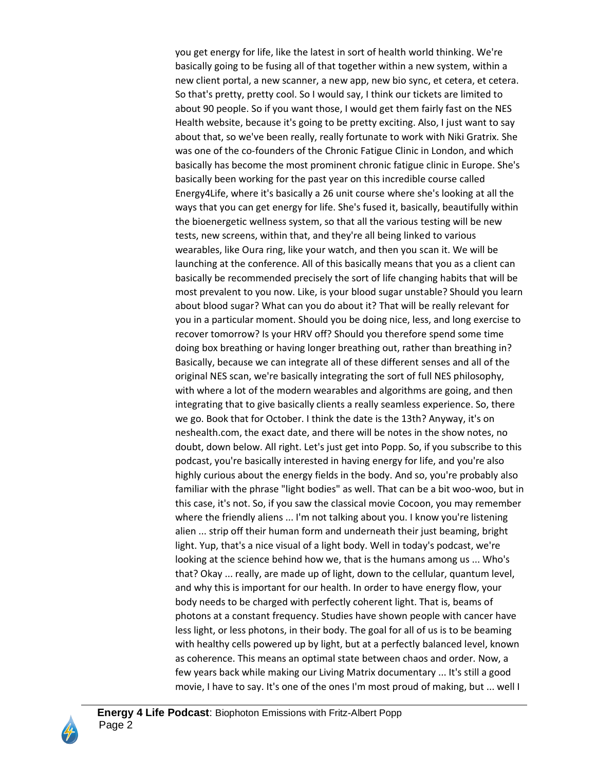you get energy for life, like the latest in sort of health world thinking. We're basically going to be fusing all of that together within a new system, within a new client portal, a new scanner, a new app, new bio sync, et cetera, et cetera. So that's pretty, pretty cool. So I would say, I think our tickets are limited to about 90 people. So if you want those, I would get them fairly fast on the NES Health website, because it's going to be pretty exciting. Also, I just want to say about that, so we've been really, really fortunate to work with Niki Gratrix. She was one of the co-founders of the Chronic Fatigue Clinic in London, and which basically has become the most prominent chronic fatigue clinic in Europe. She's basically been working for the past year on this incredible course called Energy4Life, where it's basically a 26 unit course where she's looking at all the ways that you can get energy for life. She's fused it, basically, beautifully within the bioenergetic wellness system, so that all the various testing will be new tests, new screens, within that, and they're all being linked to various wearables, like Oura ring, like your watch, and then you scan it. We will be launching at the conference. All of this basically means that you as a client can basically be recommended precisely the sort of life changing habits that will be most prevalent to you now. Like, is your blood sugar unstable? Should you learn about blood sugar? What can you do about it? That will be really relevant for you in a particular moment. Should you be doing nice, less, and long exercise to recover tomorrow? Is your HRV off? Should you therefore spend some time doing box breathing or having longer breathing out, rather than breathing in? Basically, because we can integrate all of these different senses and all of the original NES scan, we're basically integrating the sort of full NES philosophy, with where a lot of the modern wearables and algorithms are going, and then integrating that to give basically clients a really seamless experience. So, there we go. Book that for October. I think the date is the 13th? Anyway, it's on neshealth.com, the exact date, and there will be notes in the show notes, no doubt, down below. All right. Let's just get into Popp. So, if you subscribe to this podcast, you're basically interested in having energy for life, and you're also highly curious about the energy fields in the body. And so, you're probably also familiar with the phrase "light bodies" as well. That can be a bit woo-woo, but in this case, it's not. So, if you saw the classical movie Cocoon, you may remember where the friendly aliens ... I'm not talking about you. I know you're listening alien ... strip off their human form and underneath their just beaming, bright light. Yup, that's a nice visual of a light body. Well in today's podcast, we're looking at the science behind how we, that is the humans among us ... Who's that? Okay ... really, are made up of light, down to the cellular, quantum level, and why this is important for our health. In order to have energy flow, your body needs to be charged with perfectly coherent light. That is, beams of photons at a constant frequency. Studies have shown people with cancer have less light, or less photons, in their body. The goal for all of us is to be beaming with healthy cells powered up by light, but at a perfectly balanced level, known as coherence. This means an optimal state between chaos and order. Now, a few years back while making our Living Matrix documentary ... It's still a good movie, I have to say. It's one of the ones I'm most proud of making, but ... well I

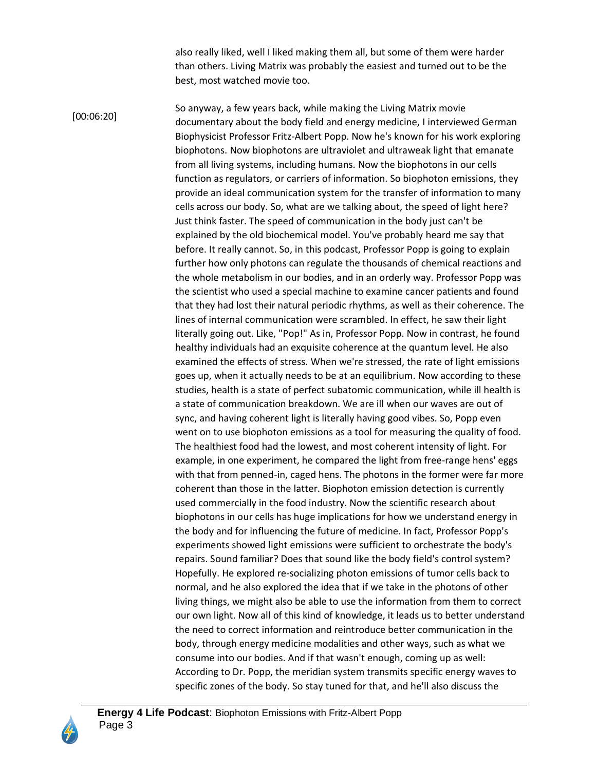also really liked, well I liked making them all, but some of them were harder than others. Living Matrix was probably the easiest and turned out to be the best, most watched movie too.

So anyway, a few years back, while making the Living Matrix movie documentary about the body field and energy medicine, I interviewed German Biophysicist Professor Fritz-Albert Popp. Now he's known for his work exploring biophotons. Now biophotons are ultraviolet and ultraweak light that emanate from all living systems, including humans. Now the biophotons in our cells function as regulators, or carriers of information. So biophoton emissions, they provide an ideal communication system for the transfer of information to many cells across our body. So, what are we talking about, the speed of light here? Just think faster. The speed of communication in the body just can't be explained by the old biochemical model. You've probably heard me say that before. It really cannot. So, in this podcast, Professor Popp is going to explain further how only photons can regulate the thousands of chemical reactions and the whole metabolism in our bodies, and in an orderly way. Professor Popp was the scientist who used a special machine to examine cancer patients and found that they had lost their natural periodic rhythms, as well as their coherence. The lines of internal communication were scrambled. In effect, he saw their light literally going out. Like, "Pop!" As in, Professor Popp. Now in contrast, he found healthy individuals had an exquisite coherence at the quantum level. He also examined the effects of stress. When we're stressed, the rate of light emissions goes up, when it actually needs to be at an equilibrium. Now according to these studies, health is a state of perfect subatomic communication, while ill health is a state of communication breakdown. We are ill when our waves are out of sync, and having coherent light is literally having good vibes. So, Popp even went on to use biophoton emissions as a tool for measuring the quality of food. The healthiest food had the lowest, and most coherent intensity of light. For example, in one experiment, he compared the light from free-range hens' eggs with that from penned-in, caged hens. The photons in the former were far more coherent than those in the latter. Biophoton emission detection is currently used commercially in the food industry. Now the scientific research about biophotons in our cells has huge implications for how we understand energy in the body and for influencing the future of medicine. In fact, Professor Popp's experiments showed light emissions were sufficient to orchestrate the body's repairs. Sound familiar? Does that sound like the body field's control system? Hopefully. He explored re-socializing photon emissions of tumor cells back to normal, and he also explored the idea that if we take in the photons of other living things, we might also be able to use the information from them to correct our own light. Now all of this kind of knowledge, it leads us to better understand the need to correct information and reintroduce better communication in the body, through energy medicine modalities and other ways, such as what we consume into our bodies. And if that wasn't enough, coming up as well: According to Dr. Popp, the meridian system transmits specific energy waves to specific zones of the body. So stay tuned for that, and he'll also discuss the [00:06:20]

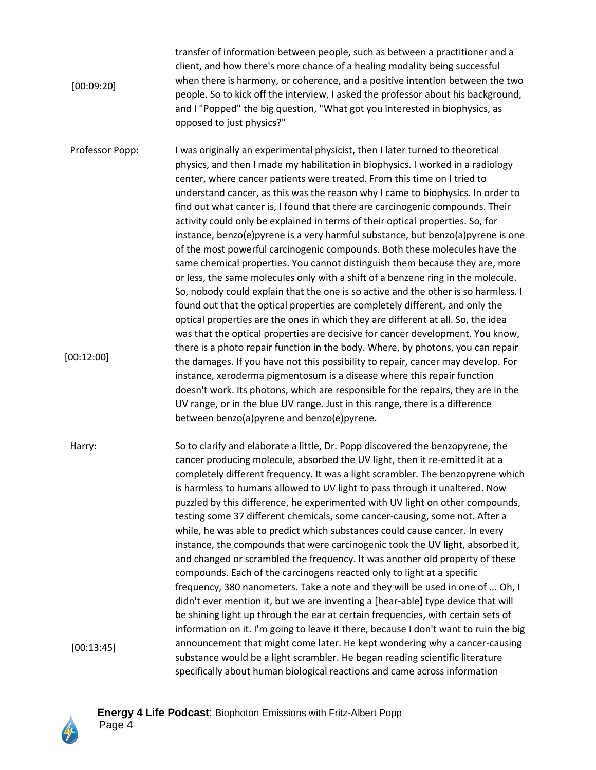transfer of information between people, such as between a practitioner and a client, and how there's more chance of a healing modality being successful when there is harmony, or coherence, and a positive intention between the two people. So to kick off the interview, I asked the professor about his background, and I "Popped" the big question, "What got you interested in biophysics, as opposed to just physics?" [00:09:20]

Professor Popp: I was originally an experimental physicist, then I later turned to theoretical physics, and then I made my habilitation in biophysics. I worked in a radiology center, where cancer patients were treated. From this time on I tried to understand cancer, as this was the reason why I came to biophysics. In order to find out what cancer is, I found that there are carcinogenic compounds. Their activity could only be explained in terms of their optical properties. So, for instance, benzo(e)pyrene is a very harmful substance, but benzo(a)pyrene is one of the most powerful carcinogenic compounds. Both these molecules have the same chemical properties. You cannot distinguish them because they are, more or less, the same molecules only with a shift of a benzene ring in the molecule. So, nobody could explain that the one is so active and the other is so harmless. I found out that the optical properties are completely different, and only the optical properties are the ones in which they are different at all. So, the idea was that the optical properties are decisive for cancer development. You know, there is a photo repair function in the body. Where, by photons, you can repair the damages. If you have not this possibility to repair, cancer may develop. For instance, xeroderma pigmentosum is a disease where this repair function doesn't work. Its photons, which are responsible for the repairs, they are in the UV range, or in the blue UV range. Just in this range, there is a difference between benzo(a)pyrene and benzo(e)pyrene. [00:12:00]

Harry: So to clarify and elaborate a little, Dr. Popp discovered the benzopyrene, the cancer producing molecule, absorbed the UV light, then it re-emitted it at a completely different frequency. It was a light scrambler. The benzopyrene which is harmless to humans allowed to UV light to pass through it unaltered. Now puzzled by this difference, he experimented with UV light on other compounds, testing some 37 different chemicals, some cancer-causing, some not. After a while, he was able to predict which substances could cause cancer. In every instance, the compounds that were carcinogenic took the UV light, absorbed it, and changed or scrambled the frequency. It was another old property of these compounds. Each of the carcinogens reacted only to light at a specific frequency, 380 nanometers. Take a note and they will be used in one of ... Oh, I didn't ever mention it, but we are inventing a [hear-able] type device that will be shining light up through the ear at certain frequencies, with certain sets of information on it. I'm going to leave it there, because I don't want to ruin the big announcement that might come later. He kept wondering why a cancer-causing substance would be a light scrambler. He began reading scientific literature specifically about human biological reactions and came across information [00:13:45]

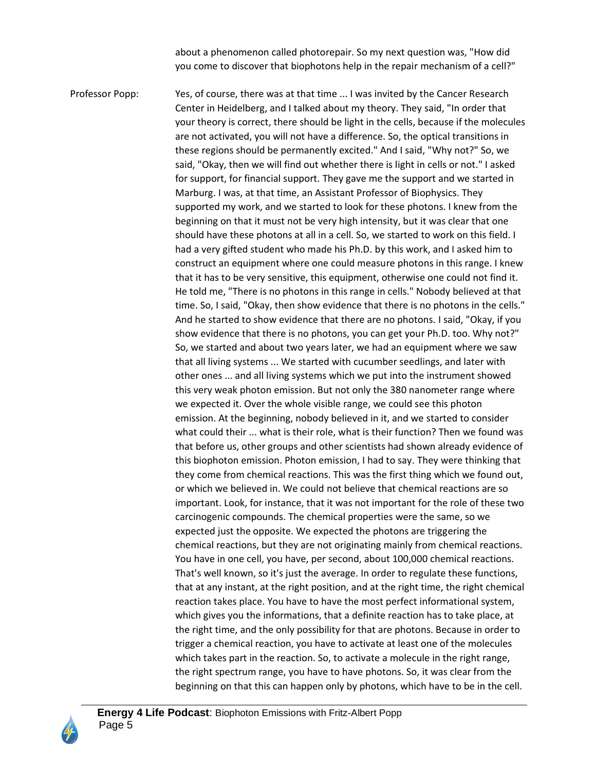about a phenomenon called photorepair. So my next question was, "How did you come to discover that biophotons help in the repair mechanism of a cell?"

Professor Popp: Yes, of course, there was at that time ... I was invited by the Cancer Research Center in Heidelberg, and I talked about my theory. They said, "In order that your theory is correct, there should be light in the cells, because if the molecules are not activated, you will not have a difference. So, the optical transitions in these regions should be permanently excited." And I said, "Why not?" So, we said, "Okay, then we will find out whether there is light in cells or not." I asked for support, for financial support. They gave me the support and we started in Marburg. I was, at that time, an Assistant Professor of Biophysics. They supported my work, and we started to look for these photons. I knew from the beginning on that it must not be very high intensity, but it was clear that one should have these photons at all in a cell. So, we started to work on this field. I had a very gifted student who made his Ph.D. by this work, and I asked him to construct an equipment where one could measure photons in this range. I knew that it has to be very sensitive, this equipment, otherwise one could not find it. He told me, "There is no photons in this range in cells." Nobody believed at that time. So, I said, "Okay, then show evidence that there is no photons in the cells." And he started to show evidence that there are no photons. I said, "Okay, if you show evidence that there is no photons, you can get your Ph.D. too. Why not?" So, we started and about two years later, we had an equipment where we saw that all living systems ... We started with cucumber seedlings, and later with other ones ... and all living systems which we put into the instrument showed this very weak photon emission. But not only the 380 nanometer range where we expected it. Over the whole visible range, we could see this photon emission. At the beginning, nobody believed in it, and we started to consider what could their ... what is their role, what is their function? Then we found was that before us, other groups and other scientists had shown already evidence of this biophoton emission. Photon emission, I had to say. They were thinking that they come from chemical reactions. This was the first thing which we found out, or which we believed in. We could not believe that chemical reactions are so important. Look, for instance, that it was not important for the role of these two carcinogenic compounds. The chemical properties were the same, so we expected just the opposite. We expected the photons are triggering the chemical reactions, but they are not originating mainly from chemical reactions. You have in one cell, you have, per second, about 100,000 chemical reactions. That's well known, so it's just the average. In order to regulate these functions, that at any instant, at the right position, and at the right time, the right chemical reaction takes place. You have to have the most perfect informational system, which gives you the informations, that a definite reaction has to take place, at the right time, and the only possibility for that are photons. Because in order to trigger a chemical reaction, you have to activate at least one of the molecules which takes part in the reaction. So, to activate a molecule in the right range, the right spectrum range, you have to have photons. So, it was clear from the beginning on that this can happen only by photons, which have to be in the cell.

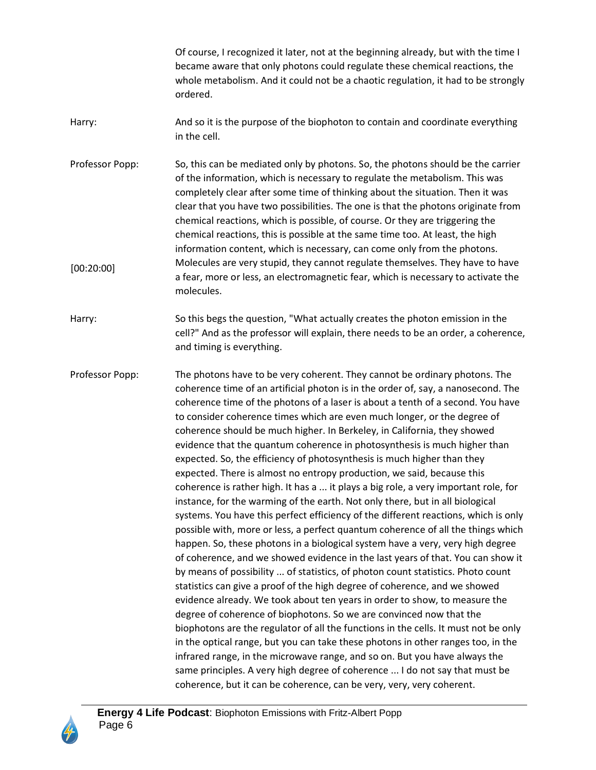Of course, I recognized it later, not at the beginning already, but with the time I became aware that only photons could regulate these chemical reactions, the whole metabolism. And it could not be a chaotic regulation, it had to be strongly ordered.

- Harry: And so it is the purpose of the biophoton to contain and coordinate everything in the cell.
- Professor Popp: So, this can be mediated only by photons. So, the photons should be the carrier of the information, which is necessary to regulate the metabolism. This was completely clear after some time of thinking about the situation. Then it was clear that you have two possibilities. The one is that the photons originate from chemical reactions, which is possible, of course. Or they are triggering the chemical reactions, this is possible at the same time too. At least, the high information content, which is necessary, can come only from the photons. Molecules are very stupid, they cannot regulate themselves. They have to have a fear, more or less, an electromagnetic fear, which is necessary to activate the molecules. [00:20:00]
- Harry: So this begs the question, "What actually creates the photon emission in the cell?" And as the professor will explain, there needs to be an order, a coherence, and timing is everything.
- Professor Popp: The photons have to be very coherent. They cannot be ordinary photons. The coherence time of an artificial photon is in the order of, say, a nanosecond. The coherence time of the photons of a laser is about a tenth of a second. You have to consider coherence times which are even much longer, or the degree of coherence should be much higher. In Berkeley, in California, they showed evidence that the quantum coherence in photosynthesis is much higher than expected. So, the efficiency of photosynthesis is much higher than they expected. There is almost no entropy production, we said, because this coherence is rather high. It has a ... it plays a big role, a very important role, for instance, for the warming of the earth. Not only there, but in all biological systems. You have this perfect efficiency of the different reactions, which is only possible with, more or less, a perfect quantum coherence of all the things which happen. So, these photons in a biological system have a very, very high degree of coherence, and we showed evidence in the last years of that. You can show it by means of possibility ... of statistics, of photon count statistics. Photo count statistics can give a proof of the high degree of coherence, and we showed evidence already. We took about ten years in order to show, to measure the degree of coherence of biophotons. So we are convinced now that the biophotons are the regulator of all the functions in the cells. It must not be only in the optical range, but you can take these photons in other ranges too, in the infrared range, in the microwave range, and so on. But you have always the same principles. A very high degree of coherence ... I do not say that must be coherence, but it can be coherence, can be very, very, very coherent.

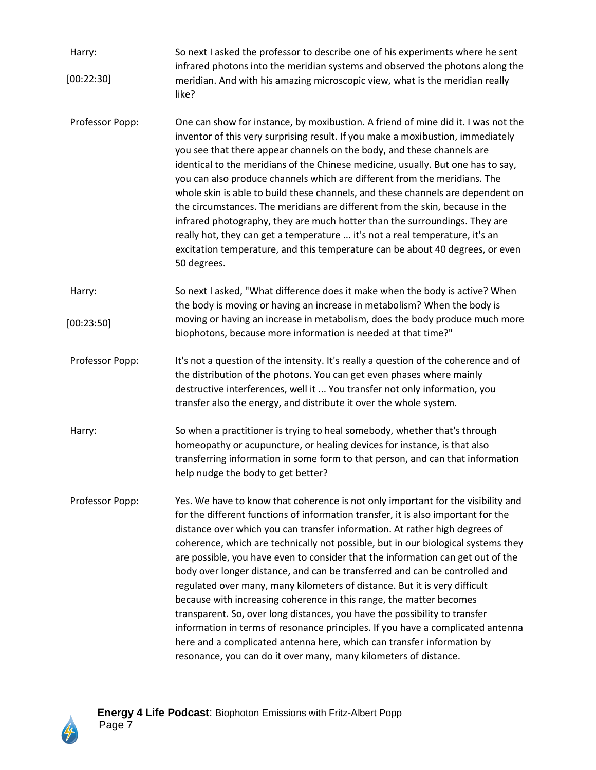| Harry:<br>[00:22:30] | So next I asked the professor to describe one of his experiments where he sent<br>infrared photons into the meridian systems and observed the photons along the<br>meridian. And with his amazing microscopic view, what is the meridian really                                                                                                                                                                                                                                                                                                                                                                                                                                                                                                                                                                                                                                                                                                                                 |
|----------------------|---------------------------------------------------------------------------------------------------------------------------------------------------------------------------------------------------------------------------------------------------------------------------------------------------------------------------------------------------------------------------------------------------------------------------------------------------------------------------------------------------------------------------------------------------------------------------------------------------------------------------------------------------------------------------------------------------------------------------------------------------------------------------------------------------------------------------------------------------------------------------------------------------------------------------------------------------------------------------------|
|                      | like?                                                                                                                                                                                                                                                                                                                                                                                                                                                                                                                                                                                                                                                                                                                                                                                                                                                                                                                                                                           |
| Professor Popp:      | One can show for instance, by moxibustion. A friend of mine did it. I was not the<br>inventor of this very surprising result. If you make a moxibustion, immediately<br>you see that there appear channels on the body, and these channels are<br>identical to the meridians of the Chinese medicine, usually. But one has to say,<br>you can also produce channels which are different from the meridians. The<br>whole skin is able to build these channels, and these channels are dependent on<br>the circumstances. The meridians are different from the skin, because in the<br>infrared photography, they are much hotter than the surroundings. They are<br>really hot, they can get a temperature  it's not a real temperature, it's an<br>excitation temperature, and this temperature can be about 40 degrees, or even<br>50 degrees.                                                                                                                                |
| Harry:               | So next I asked, "What difference does it make when the body is active? When<br>the body is moving or having an increase in metabolism? When the body is                                                                                                                                                                                                                                                                                                                                                                                                                                                                                                                                                                                                                                                                                                                                                                                                                        |
| [00:23:50]           | moving or having an increase in metabolism, does the body produce much more<br>biophotons, because more information is needed at that time?"                                                                                                                                                                                                                                                                                                                                                                                                                                                                                                                                                                                                                                                                                                                                                                                                                                    |
| Professor Popp:      | It's not a question of the intensity. It's really a question of the coherence and of<br>the distribution of the photons. You can get even phases where mainly<br>destructive interferences, well it  You transfer not only information, you<br>transfer also the energy, and distribute it over the whole system.                                                                                                                                                                                                                                                                                                                                                                                                                                                                                                                                                                                                                                                               |
| Harry:               | So when a practitioner is trying to heal somebody, whether that's through<br>homeopathy or acupuncture, or healing devices for instance, is that also<br>transferring information in some form to that person, and can that information<br>help nudge the body to get better?                                                                                                                                                                                                                                                                                                                                                                                                                                                                                                                                                                                                                                                                                                   |
| Professor Popp:      | Yes. We have to know that coherence is not only important for the visibility and<br>for the different functions of information transfer, it is also important for the<br>distance over which you can transfer information. At rather high degrees of<br>coherence, which are technically not possible, but in our biological systems they<br>are possible, you have even to consider that the information can get out of the<br>body over longer distance, and can be transferred and can be controlled and<br>regulated over many, many kilometers of distance. But it is very difficult<br>because with increasing coherence in this range, the matter becomes<br>transparent. So, over long distances, you have the possibility to transfer<br>information in terms of resonance principles. If you have a complicated antenna<br>here and a complicated antenna here, which can transfer information by<br>resonance, you can do it over many, many kilometers of distance. |

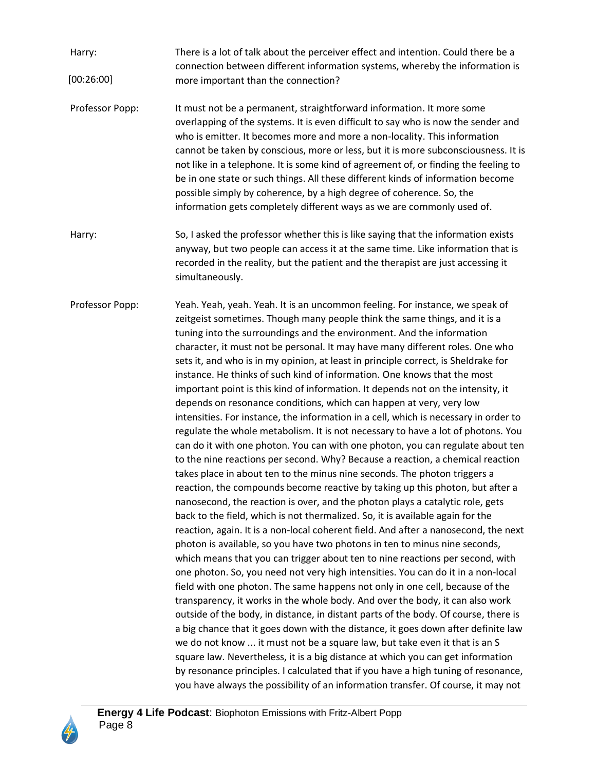- Harry: There is a lot of talk about the perceiver effect and intention. Could there be a connection between different information systems, whereby the information is more important than the connection? [00:26:00]
- Professor Popp: It must not be a permanent, straightforward information. It more some overlapping of the systems. It is even difficult to say who is now the sender and who is emitter. It becomes more and more a non-locality. This information cannot be taken by conscious, more or less, but it is more subconsciousness. It is not like in a telephone. It is some kind of agreement of, or finding the feeling to be in one state or such things. All these different kinds of information become possible simply by coherence, by a high degree of coherence. So, the information gets completely different ways as we are commonly used of.
- Harry: So, I asked the professor whether this is like saying that the information exists anyway, but two people can access it at the same time. Like information that is recorded in the reality, but the patient and the therapist are just accessing it simultaneously.
- Professor Popp: Yeah. Yeah, yeah. Yeah. It is an uncommon feeling. For instance, we speak of zeitgeist sometimes. Though many people think the same things, and it is a tuning into the surroundings and the environment. And the information character, it must not be personal. It may have many different roles. One who sets it, and who is in my opinion, at least in principle correct, is Sheldrake for instance. He thinks of such kind of information. One knows that the most important point is this kind of information. It depends not on the intensity, it depends on resonance conditions, which can happen at very, very low intensities. For instance, the information in a cell, which is necessary in order to regulate the whole metabolism. It is not necessary to have a lot of photons. You can do it with one photon. You can with one photon, you can regulate about ten to the nine reactions per second. Why? Because a reaction, a chemical reaction takes place in about ten to the minus nine seconds. The photon triggers a reaction, the compounds become reactive by taking up this photon, but after a nanosecond, the reaction is over, and the photon plays a catalytic role, gets back to the field, which is not thermalized. So, it is available again for the reaction, again. It is a non-local coherent field. And after a nanosecond, the next photon is available, so you have two photons in ten to minus nine seconds, which means that you can trigger about ten to nine reactions per second, with one photon. So, you need not very high intensities. You can do it in a non-local field with one photon. The same happens not only in one cell, because of the transparency, it works in the whole body. And over the body, it can also work outside of the body, in distance, in distant parts of the body. Of course, there is a big chance that it goes down with the distance, it goes down after definite law we do not know ... it must not be a square law, but take even it that is an S square law. Nevertheless, it is a big distance at which you can get information by resonance principles. I calculated that if you have a high tuning of resonance, you have always the possibility of an information transfer. Of course, it may not

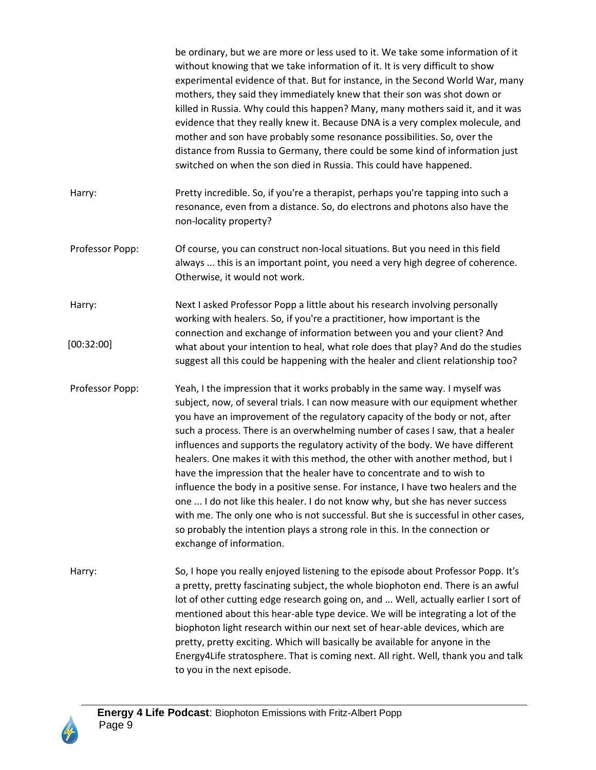be ordinary, but we are more or less used to it. We take some information of it without knowing that we take information of it. It is very difficult to show experimental evidence of that. But for instance, in the Second World War, many mothers, they said they immediately knew that their son was shot down or killed in Russia. Why could this happen? Many, many mothers said it, and it was evidence that they really knew it. Because DNA is a very complex molecule, and mother and son have probably some resonance possibilities. So, over the distance from Russia to Germany, there could be some kind of information just switched on when the son died in Russia. This could have happened.

- Harry: Pretty incredible. So, if you're a therapist, perhaps you're tapping into such a resonance, even from a distance. So, do electrons and photons also have the non-locality property?
- Professor Popp: Of course, you can construct non-local situations. But you need in this field always ... this is an important point, you need a very high degree of coherence. Otherwise, it would not work.
- Harry: Next I asked Professor Popp a little about his research involving personally working with healers. So, if you're a practitioner, how important is the connection and exchange of information between you and your client? And what about your intention to heal, what role does that play? And do the studies suggest all this could be happening with the healer and client relationship too? [00:32:00]
- Professor Popp: Yeah, I the impression that it works probably in the same way. I myself was subject, now, of several trials. I can now measure with our equipment whether you have an improvement of the regulatory capacity of the body or not, after such a process. There is an overwhelming number of cases I saw, that a healer influences and supports the regulatory activity of the body. We have different healers. One makes it with this method, the other with another method, but I have the impression that the healer have to concentrate and to wish to influence the body in a positive sense. For instance, I have two healers and the one ... I do not like this healer. I do not know why, but she has never success with me. The only one who is not successful. But she is successful in other cases, so probably the intention plays a strong role in this. In the connection or exchange of information.
- Harry: So, I hope you really enjoyed listening to the episode about Professor Popp. It's a pretty, pretty fascinating subject, the whole biophoton end. There is an awful lot of other cutting edge research going on, and ... Well, actually earlier I sort of mentioned about this hear-able type device. We will be integrating a lot of the biophoton light research within our next set of hear-able devices, which are pretty, pretty exciting. Which will basically be available for anyone in the Energy4Life stratosphere. That is coming next. All right. Well, thank you and talk to you in the next episode.